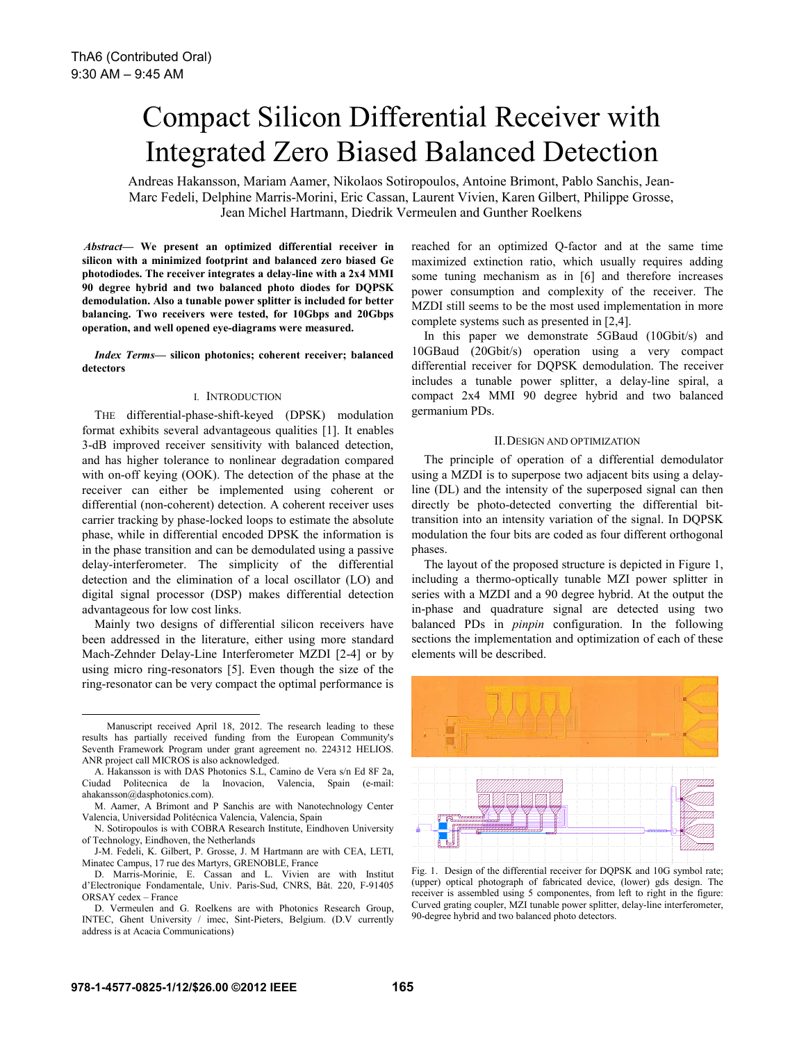# Compact Silicon Differential Receiver with Integrated Zero Biased Balanced Detection

Andreas Hakansson, Mariam Aamer, Nikolaos Sotiropoulos, Antoine Brimont, Pablo Sanchis, Jean-Marc Fedeli, Delphine Marris-Morini, Eric Cassan, Laurent Vivien, Karen Gilbert, Philippe Grosse, Jean Michel Hartmann, Diedrik Vermeulen and Gunther Roelkens

*Abstract***— We present an optimized differential receiver in silicon with a minimized footprint and balanced zero biased Ge photodiodes. The receiver integrates a delay-line with a 2x4 MMI 90 degree hybrid and two balanced photo diodes for DQPSK demodulation. Also a tunable power splitter is included for better balancing. Two receivers were tested, for 10Gbps and 20Gbps operation, and well opened eye-diagrams were measured.**

*Index Terms***— silicon photonics; coherent receiver; balanced detectors** 

# I. INTRODUCTION

THE differential-phase-shift-keyed (DPSK) modulation format exhibits several advantageous qualities [1]. It enables 3-dB improved receiver sensitivity with balanced detection, and has higher tolerance to nonlinear degradation compared with on-off keying (OOK). The detection of the phase at the receiver can either be implemented using coherent or differential (non-coherent) detection. A coherent receiver uses carrier tracking by phase-locked loops to estimate the absolute phase, while in differential encoded DPSK the information is in the phase transition and can be demodulated using a passive delay-interferometer. The simplicity of the differential detection and the elimination of a local oscillator (LO) and digital signal processor (DSP) makes differential detection advantageous for low cost links.

Mainly two designs of differential silicon receivers have been addressed in the literature, either using more standard Mach-Zehnder Delay-Line Interferometer MZDI [2-4] or by using micro ring-resonators [5]. Even though the size of the ring-resonator can be very compact the optimal performance is

reached for an optimized Q-factor and at the same time maximized extinction ratio, which usually requires adding some tuning mechanism as in [6] and therefore increases power consumption and complexity of the receiver. The MZDI still seems to be the most used implementation in more complete systems such as presented in [2,4].

In this paper we demonstrate 5GBaud (10Gbit/s) and 10GBaud (20Gbit/s) operation using a very compact differential receiver for DQPSK demodulation. The receiver includes a tunable power splitter, a delay-line spiral, a compact 2x4 MMI 90 degree hybrid and two balanced germanium PDs.

# II.DESIGN AND OPTIMIZATION

The principle of operation of a differential demodulator using a MZDI is to superpose two adjacent bits using a delayline (DL) and the intensity of the superposed signal can then directly be photo-detected converting the differential bittransition into an intensity variation of the signal. In DQPSK modulation the four bits are coded as four different orthogonal phases.

The layout of the proposed structure is depicted in Figure 1, including a thermo-optically tunable MZI power splitter in series with a MZDI and a 90 degree hybrid. At the output the in-phase and quadrature signal are detected using two balanced PDs in *pinpin* configuration. In the following sections the implementation and optimization of each of these elements will be described.



Fig. 1. Design of the differential receiver for DQPSK and 10G symbol rate; (upper) optical photograph of fabricated device, (lower) gds design. The receiver is assembled using 5 componentes, from left to right in the figure: Curved grating coupler, MZI tunable power splitter, delay-line interferometer, 90-degree hybrid and two balanced photo detectors.

 $\overline{a}$ 

Manuscript received April 18, 2012. The research leading to these results has partially received funding from the European Community's Seventh Framework Program under grant agreement no. 224312 HELIOS. ANR project call MICROS is also acknowledged.

A. Hakansson is with DAS Photonics S.L, Camino de Vera s/n Ed 8F 2a, Ciudad Politecnica de la Inovacion, Valencia, Spain (e-mail: ahakansson@dasphotonics.com).

M. Aamer, A Brimont and P Sanchis are with Nanotechnology Center Valencia, Universidad Politécnica Valencia, Valencia, Spain

N. Sotiropoulos is with COBRA Research Institute, Eindhoven University of Technology, Eindhoven, the Netherlands

J-M. Fedeli, K. Gilbert, P. Grosse, J. M Hartmann are with CEA, LETI, Minatec Campus, 17 rue des Martyrs, GRENOBLE, France

D. Marris-Morinie, E. Cassan and L. Vivien are with Institut d'Electronique Fondamentale, Univ. Paris-Sud, CNRS, Bât. 220, F-91405 ORSAY cedex – France

D. Vermeulen and G. Roelkens are with Photonics Research Group, INTEC, Ghent University / imec, Sint-Pieters, Belgium. (D.V currently address is at Acacia Communications)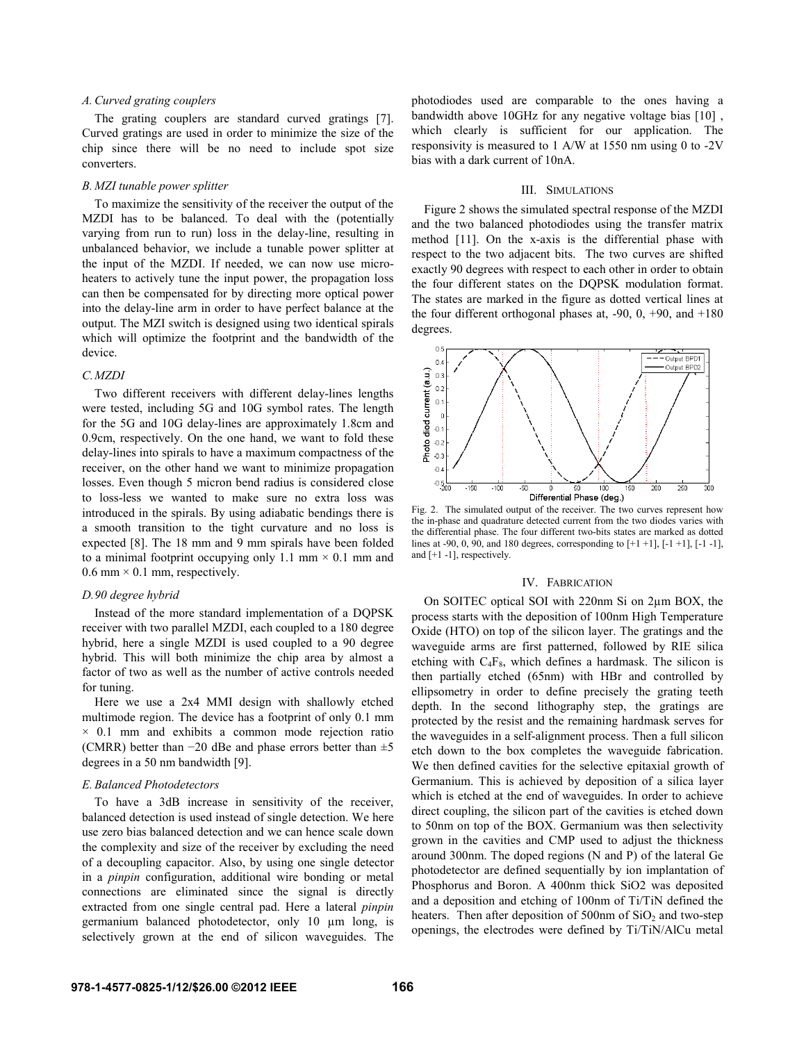# *A.Curved grating couplers*

The grating couplers are standard curved gratings [7]. Curved gratings are used in order to minimize the size of the chip since there will be no need to include spot size converters.

## *B. MZI tunable power splitter*

To maximize the sensitivity of the receiver the output of the MZDI has to be balanced. To deal with the (potentially varying from run to run) loss in the delay-line, resulting in unbalanced behavior, we include a tunable power splitter at the input of the MZDI. If needed, we can now use microheaters to actively tune the input power, the propagation loss can then be compensated for by directing more optical power into the delay-line arm in order to have perfect balance at the output. The MZI switch is designed using two identical spirals which will optimize the footprint and the bandwidth of the device.

## *C.MZDI*

Two different receivers with different delay-lines lengths were tested, including 5G and 10G symbol rates. The length for the 5G and 10G delay-lines are approximately 1.8cm and 0.9cm, respectively. On the one hand, we want to fold these delay-lines into spirals to have a maximum compactness of the receiver, on the other hand we want to minimize propagation losses. Even though 5 micron bend radius is considered close to loss-less we wanted to make sure no extra loss was introduced in the spirals. By using adiabatic bendings there is a smooth transition to the tight curvature and no loss is expected [8]. The 18 mm and 9 mm spirals have been folded to a minimal footprint occupying only 1.1 mm  $\times$  0.1 mm and 0.6 mm  $\times$  0.1 mm, respectively.

# *D.90 degree hybrid*

Instead of the more standard implementation of a DQPSK receiver with two parallel MZDI, each coupled to a 180 degree hybrid, here a single MZDI is used coupled to a 90 degree hybrid. This will both minimize the chip area by almost a factor of two as well as the number of active controls needed for tuning.

Here we use a 2x4 MMI design with shallowly etched multimode region. The device has a footprint of only 0.1 mm  $\times$  0.1 mm and exhibits a common mode rejection ratio (CMRR) better than  $-20$  dBe and phase errors better than  $\pm 5$ degrees in a 50 nm bandwidth [9].

#### *E.Balanced Photodetectors*

To have a 3dB increase in sensitivity of the receiver, balanced detection is used instead of single detection. We here use zero bias balanced detection and we can hence scale down the complexity and size of the receiver by excluding the need of a decoupling capacitor. Also, by using one single detector in a *pinpin* configuration, additional wire bonding or metal connections are eliminated since the signal is directly extracted from one single central pad. Here a lateral *pinpin* germanium balanced photodetector, only 10 µm long, is selectively grown at the end of silicon waveguides. The

photodiodes used are comparable to the ones having a bandwidth above 10GHz for any negative voltage bias [10] , which clearly is sufficient for our application. The responsivity is measured to 1 A/W at 1550 nm using 0 to -2V bias with a dark current of 10nA.

#### III. SIMULATIONS

Figure 2 shows the simulated spectral response of the MZDI and the two balanced photodiodes using the transfer matrix method [11]. On the x-axis is the differential phase with respect to the two adjacent bits. The two curves are shifted exactly 90 degrees with respect to each other in order to obtain the four different states on the DQPSK modulation format. The states are marked in the figure as dotted vertical lines at the four different orthogonal phases at,  $-90$ ,  $0$ ,  $+90$ , and  $+180$ degrees.



Fig. 2. The simulated output of the receiver. The two curves represent how the in-phase and quadrature detected current from the two diodes varies with the differential phase. The four different two-bits states are marked as dotted lines at -90, 0, 90, and 180 degrees, corresponding to [+1 +1], [-1 +1], [-1 -1], and [+1 -1], respectively.

#### IV. FABRICATION

On SOITEC optical SOI with 220nm Si on 2µm BOX, the process starts with the deposition of 100nm High Temperature Oxide (HTO) on top of the silicon layer. The gratings and the waveguide arms are first patterned, followed by RIE silica etching with  $C_4F_8$ , which defines a hardmask. The silicon is then partially etched (65nm) with HBr and controlled by ellipsometry in order to define precisely the grating teeth depth. In the second lithography step, the gratings are protected by the resist and the remaining hardmask serves for the waveguides in a self-alignment process. Then a full silicon etch down to the box completes the waveguide fabrication. We then defined cavities for the selective epitaxial growth of Germanium. This is achieved by deposition of a silica layer which is etched at the end of waveguides. In order to achieve direct coupling, the silicon part of the cavities is etched down to 50nm on top of the BOX. Germanium was then selectivity grown in the cavities and CMP used to adjust the thickness around 300nm. The doped regions (N and P) of the lateral Ge photodetector are defined sequentially by ion implantation of Phosphorus and Boron. A 400nm thick SiO2 was deposited and a deposition and etching of 100nm of Ti/TiN defined the heaters. Then after deposition of  $500$ nm of  $SiO<sub>2</sub>$  and two-step openings, the electrodes were defined by Ti/TiN/AlCu metal